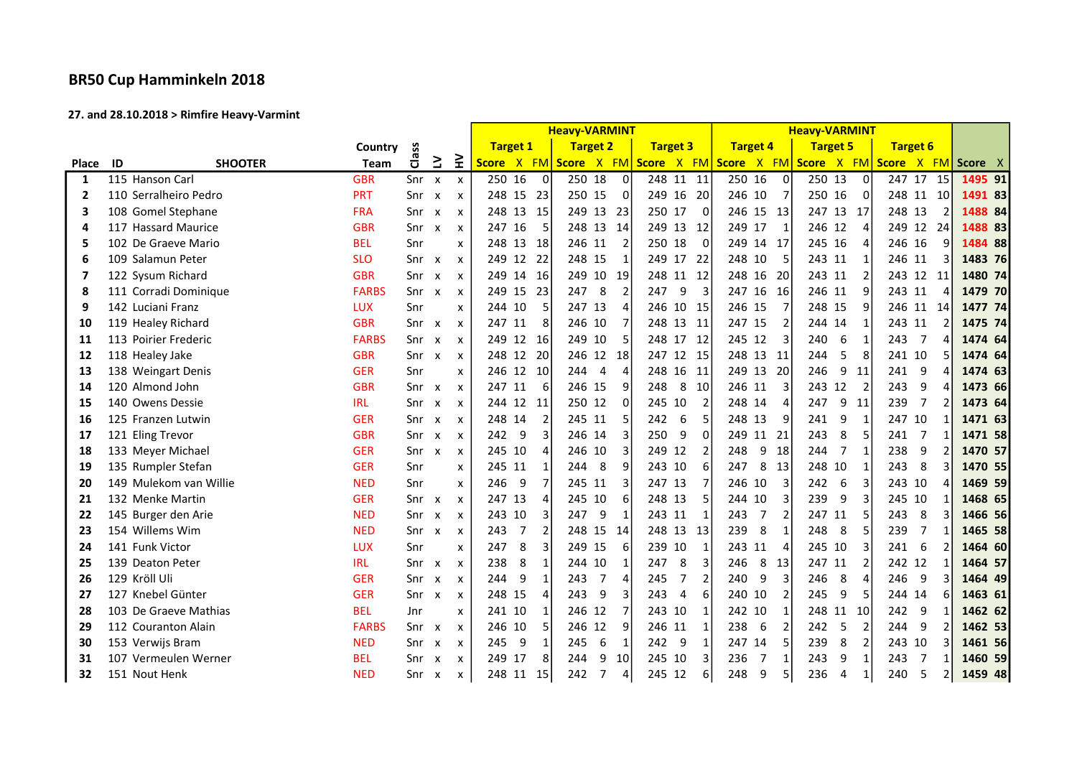## BR50 Cup Hamminkeln 2018

## 27. and 28.10.2018 > Rimfire Heavy-Varmint

|                         |                        |              |              |                           |                           |                            | <b>Heavy-VARMINT</b>                    |                                                                                      | <b>Heavy-VARMINT</b>  |                                       |                            |         |
|-------------------------|------------------------|--------------|--------------|---------------------------|---------------------------|----------------------------|-----------------------------------------|--------------------------------------------------------------------------------------|-----------------------|---------------------------------------|----------------------------|---------|
|                         |                        | Country      | Class        |                           |                           | <b>Target 1</b>            | <b>Target 2</b>                         | <b>Target 3</b>                                                                      | <b>Target 4</b>       | <b>Target 5</b>                       | <b>Target 6</b>            |         |
| <b>Place</b>            | ID<br><b>SHOOTER</b>   | <b>Team</b>  |              | $\geq$                    | ≩                         |                            |                                         | Score X FM Score X FM Score X FM Score X FM Score X FM Score X FM Score X FM Score X |                       |                                       |                            |         |
| $\mathbf{1}$            | 115 Hanson Carl        | <b>GBR</b>   | Snr x        |                           | $\pmb{\times}$            | 250 16<br>$\Omega$         | 250 18<br>$\Omega$                      | 248 11 11                                                                            | 250 16<br>$\Omega$    | 250 13<br>$\Omega$                    | 247 17 15                  | 1495 91 |
| $\overline{2}$          | 110 Serralheiro Pedro  | <b>PRT</b>   | Snr          | $\boldsymbol{\mathsf{x}}$ | $\boldsymbol{\mathsf{x}}$ | 248 15 23                  | 250 15<br>$\overline{0}$                | 249 16<br>-20                                                                        | 246 10                | 250 16<br>0                           | 248 11<br>10               | 1491 83 |
| 3                       | 108 Gomel Stephane     | <b>FRA</b>   | Snr          | $\boldsymbol{\mathsf{x}}$ | $\boldsymbol{\mathsf{x}}$ | 248 13 15                  | 249<br>13<br>23                         | 250 17<br>$\Omega$                                                                   | 246 15 13             | 247 13<br>17                          | 248 13<br>$\mathcal{P}$    | 1488 84 |
| 4                       | 117 Hassard Maurice    | <b>GBR</b>   | Snr          | $\boldsymbol{\mathsf{x}}$ | $\boldsymbol{\mathsf{x}}$ | 247 16<br>5                | 248<br>13<br>14                         | 249 13<br>12                                                                         | 249 17                | 246 12<br>$\overline{4}$              | 249 12<br>24               | 1488 83 |
| 5                       | 102 De Graeve Mario    | <b>BEL</b>   | Snr          |                           | $\boldsymbol{\mathsf{x}}$ | 248 13 18                  | 246 11<br>$\overline{2}$                | 250 18<br>$\Omega$                                                                   | 249 14 17             | 245<br>16<br>$\Delta$                 | 246 16<br>9                | 1484 88 |
| 6                       | 109 Salamun Peter      | <b>SLO</b>   | Snr          | $\boldsymbol{\mathsf{x}}$ | $\boldsymbol{\mathsf{x}}$ | 249 12 22                  | 248 15<br>1                             | 249 17<br>-22                                                                        | 248 10                | 243 11                                | 246 11                     | 1483 76 |
| $\overline{\mathbf{z}}$ | 122 Sysum Richard      | <b>GBR</b>   | Snr          | $\boldsymbol{\mathsf{x}}$ | $\boldsymbol{\mathsf{x}}$ | 249 14 16                  | 249<br>10<br>19                         | 248 11<br>12                                                                         | 248 16 20             | 243 11                                | 243 12<br>11               | 1480 74 |
| 8                       | 111 Corradi Dominique  | <b>FARBS</b> | Snr          | $\mathsf{x}$              | $\boldsymbol{\mathsf{x}}$ | 249 15<br>23               | 247<br>8<br>$\overline{2}$              | 247<br>9<br>3                                                                        | 247 16 16             | 246 11<br>9                           | 243 11                     | 1479 70 |
| 9                       | 142 Luciani Franz      | <b>LUX</b>   | Snr          |                           | $\boldsymbol{\mathsf{x}}$ | 244 10                     | 247 13<br>$\overline{4}$                | 246 10 15                                                                            | 246 15                | 248 15<br>9                           | 246 11<br>-14              | 1477 74 |
| 10                      | 119 Healey Richard     | <b>GBR</b>   | Snr          | $\mathsf{x}$              | $\boldsymbol{\mathsf{x}}$ | 247 11<br>8                | 246<br>10<br>$\overline{7}$             | 248 13<br>-11                                                                        | 247 15                | 244 14<br>$\mathbf 1$                 | 243 11                     | 1475 74 |
| 11                      | 113 Poirier Frederic   | <b>FARBS</b> | Snr          | $\boldsymbol{\mathsf{x}}$ | $\boldsymbol{\mathsf{x}}$ | 249 12 16                  | 249<br>10<br>5                          | 248 17<br>12                                                                         | 245 12<br>3           | 240<br>6<br>$\mathbf{1}$              | $\overline{7}$<br>243<br>4 | 1474 64 |
| 12                      | 118 Healey Jake        | <b>GBR</b>   | Snr          | $\mathsf{x}$              | $\boldsymbol{\mathsf{x}}$ | 248 12 20                  | 246 12 18                               | 247 12 15                                                                            | 248 13 11             | 244<br>5<br>8                         | 241 10<br>5                | 1474 64 |
| 13                      | 138 Weingart Denis     | <b>GER</b>   | Snr          |                           | $\boldsymbol{\mathsf{x}}$ | 246 12 10                  | $\overline{4}$<br>244<br>$\overline{4}$ | 248 16<br>11                                                                         | 249 13 20             | 246<br>9<br>11                        | 241 9<br>$\overline{a}$    | 1474 63 |
| 14                      | 120 Almond John        | <b>GBR</b>   | $Snr \times$ |                           | $\boldsymbol{\mathsf{x}}$ | 6<br>247 11                | 246 15<br>q                             | 248<br>8<br>10                                                                       | 246 11                | 243<br>12<br>$\overline{z}$           | 243<br>9                   | 1473 66 |
| 15                      | 140 Owens Dessie       | <b>IRL</b>   | Snr          | $\boldsymbol{\mathsf{x}}$ | $\boldsymbol{\mathsf{x}}$ | 244 12<br>11               | 250 12<br>$\Omega$                      | 245 10<br>$\overline{2}$                                                             | 248 14                | 247<br>9<br>11                        | 239<br>$\overline{7}$      | 1473 64 |
| 16                      | 125 Franzen Lutwin     | <b>GER</b>   | Snr          | $\boldsymbol{\mathsf{x}}$ | $\boldsymbol{\mathsf{x}}$ | 248 14                     | 245 11<br>5                             | 242<br>6<br>5                                                                        | 248 13<br>9           | 241<br>9<br>$\overline{1}$            | 247 10                     | 1471 63 |
| 17                      | 121 Eling Trevor       | <b>GBR</b>   | Snr          | $\mathsf{x}$              | $\boldsymbol{\mathsf{x}}$ | 9<br>242                   | 246<br>14<br>3                          | 250<br>$\Omega$<br>9                                                                 | 249 11<br>21          | 243<br>8<br>5                         | $\overline{7}$<br>241      | 1471 58 |
| 18                      | 133 Meyer Michael      | <b>GER</b>   | Snr          | $\mathsf{x}$              | $\boldsymbol{\mathsf{x}}$ | 245 10<br>4                | 246<br>10<br>3                          | 12<br>249<br>$\overline{2}$                                                          | 9<br>248<br>18        | 244<br>$\overline{7}$<br>$\mathbf{1}$ | 238<br>9                   | 1470 57 |
| 19                      | 135 Rumpler Stefan     | <b>GER</b>   | Snr          |                           | $\boldsymbol{\mathsf{x}}$ | 245 11                     | 244<br>8<br>9                           | 243 10<br>6                                                                          | 8 13<br>247           | 248<br>10<br>$\mathbf{1}$             | 243<br>8                   | 1470 55 |
| 20                      | 149 Mulekom van Willie | <b>NED</b>   | Snr          |                           | $\boldsymbol{\mathsf{x}}$ | 9<br>$\overline{7}$<br>246 | 3<br>245<br>11                          | 247 13<br>7                                                                          | 246 10                | 242<br>6<br>3                         | 243 10<br>4                | 1469 59 |
| 21                      | 132 Menke Martin       | <b>GER</b>   | Snr          | $\boldsymbol{\mathsf{x}}$ | $\boldsymbol{\mathsf{x}}$ | 247 13                     | 245<br>10<br>6                          | 248 13<br>5                                                                          | 244 10                | 239<br>9<br>3                         | 245 10                     | 1468 65 |
| 22                      | 145 Burger den Arie    | <b>NED</b>   | Snr          | $\boldsymbol{\mathsf{x}}$ | $\boldsymbol{\mathsf{x}}$ | 243 10                     | 247<br>9<br>$\mathbf{1}$                | 243 11<br>$\mathbf{1}$                                                               | $\overline{7}$<br>243 | 247<br>11<br>5                        | 243<br>8                   | 1466 56 |
| 23                      | 154 Willems Wim        | <b>NED</b>   | Snr          | $\boldsymbol{\mathsf{x}}$ | $\boldsymbol{\mathsf{x}}$ | 243<br>7                   | 248<br>15<br>14                         | 248 13<br>13                                                                         | 239<br>8              | 248<br>8<br>5                         | 239<br>$\overline{7}$      | 1465 58 |
| 24                      | 141 Funk Victor        | <b>LUX</b>   | Snr          |                           | $\boldsymbol{\mathsf{x}}$ | 247<br>8<br>$\overline{3}$ | 249<br>15<br>6                          | 239 10<br>$\mathbf{1}$                                                               | 243 11<br>4           | 245<br>3<br>10                        | 241<br>- 6                 | 1464 60 |
| 25                      | 139 Deaton Peter       | <b>IRL</b>   | Snr          | $\boldsymbol{\mathsf{x}}$ | $\boldsymbol{\mathsf{x}}$ | 238<br>8<br>$\mathbf{1}$   | 10<br>244<br>1                          | 8<br>$\overline{3}$<br>247                                                           | 8<br>246<br>13        | 247<br>$\overline{2}$<br>11           | 242 12                     | 1464 57 |
| 26                      | 129 Kröll Uli          | <b>GER</b>   | Snr          | $\boldsymbol{\mathsf{x}}$ | $\boldsymbol{\mathsf{x}}$ | 9<br>244<br>$\mathbf{1}$   | 243<br>$\overline{7}$<br>$\overline{4}$ | $\overline{2}$<br>245<br>7                                                           | 9<br>3<br>240         | 246<br>8<br>4                         | 246<br>9                   | 1464 49 |
| 27                      | 127 Knebel Günter      | <b>GER</b>   | Snr          | $\mathsf{x}$              | $\pmb{\times}$            | 248 15<br>$\overline{4}$   | 243<br>9<br>$\overline{3}$              | 243<br>6<br>$\overline{4}$                                                           | 240 10                | 245<br>9<br>5                         | 6<br>244 14                | 1463 61 |
| 28                      | 103 De Graeve Mathias  | <b>BEL</b>   | Jnr          |                           | $\boldsymbol{\mathsf{x}}$ | 241 10                     | 246 12<br>$\overline{7}$                | 243 10<br>$\mathbf{1}$                                                               | 242 10                | 248<br>10<br>11                       | 242 9                      | 1462 62 |
| 29                      | 112 Couranton Alain    | <b>FARBS</b> | Snr          | $\mathsf{x}$              | $\boldsymbol{\mathsf{x}}$ | 246 10                     | 246<br>12<br>9                          | 246 11<br>$\mathbf{1}$                                                               | 238<br>6              | 242<br>5<br>$\overline{2}$            | 244<br>9                   | 1462 53 |
| 30                      | 153 Verwijs Bram       | <b>NED</b>   | Snr          | $\boldsymbol{\mathsf{x}}$ | $\boldsymbol{\mathsf{x}}$ | 245<br>9                   | 245<br>6<br>$\mathbf{1}$                | 242 9<br>$\mathbf{1}$                                                                | 247 14                | 239<br>8<br>$\overline{2}$            | 243 10                     | 1461 56 |
| 31                      | 107 Vermeulen Werner   | <b>BEL</b>   | Snr          | $\boldsymbol{\mathsf{x}}$ | $\boldsymbol{\mathsf{x}}$ | 249 17<br>8                | 10<br>244<br>9                          | 245 10<br>3                                                                          | 236<br>7              | 243<br>$\mathbf{1}$<br>9              | 243<br>7                   | 1460 59 |
| 32                      | 151 Nout Henk          | <b>NED</b>   | Snr          | $\boldsymbol{\mathsf{x}}$ | $\boldsymbol{\mathsf{x}}$ | 248 11<br>15               | 242<br>$\overline{7}$<br>4              | 245 12<br>6                                                                          | 248<br>9<br>5         | 236<br>4<br>$\mathbf{1}$              | 240<br>5                   | 1459 48 |